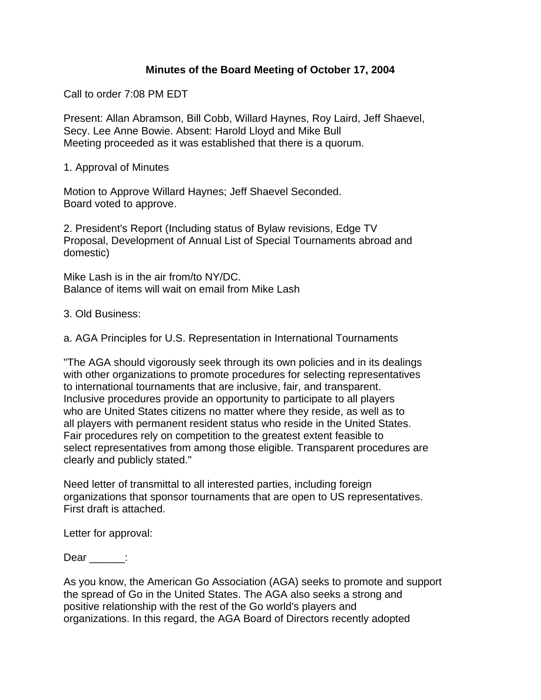## **Minutes of the Board Meeting of October 17, 2004**

Call to order 7:08 PM EDT

Present: Allan Abramson, Bill Cobb, Willard Haynes, Roy Laird, Jeff Shaevel, Secy. Lee Anne Bowie. Absent: Harold Lloyd and Mike Bull Meeting proceeded as it was established that there is a quorum.

1. Approval of Minutes

Motion to Approve Willard Haynes; Jeff Shaevel Seconded. Board voted to approve.

2. President's Report (Including status of Bylaw revisions, Edge TV Proposal, Development of Annual List of Special Tournaments abroad and domestic)

Mike Lash is in the air from/to NY/DC. Balance of items will wait on email from Mike Lash

3. Old Business:

a. AGA Principles for U.S. Representation in International Tournaments

"The AGA should vigorously seek through its own policies and in its dealings with other organizations to promote procedures for selecting representatives to international tournaments that are inclusive, fair, and transparent. Inclusive procedures provide an opportunity to participate to all players who are United States citizens no matter where they reside, as well as to all players with permanent resident status who reside in the United States. Fair procedures rely on competition to the greatest extent feasible to select representatives from among those eligible. Transparent procedures are clearly and publicly stated."

Need letter of transmittal to all interested parties, including foreign organizations that sponsor tournaments that are open to US representatives. First draft is attached.

Letter for approval:

Dear \_\_\_\_\_\_:

As you know, the American Go Association (AGA) seeks to promote and support the spread of Go in the United States. The AGA also seeks a strong and positive relationship with the rest of the Go world's players and organizations. In this regard, the AGA Board of Directors recently adopted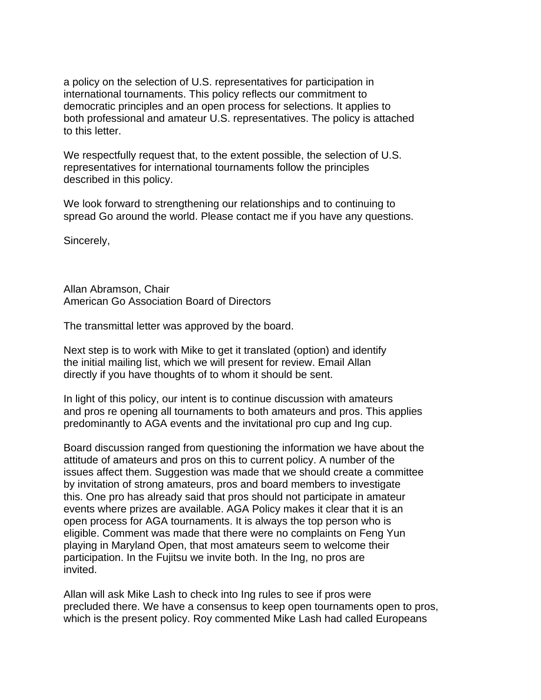a policy on the selection of U.S. representatives for participation in international tournaments. This policy reflects our commitment to democratic principles and an open process for selections. It applies to both professional and amateur U.S. representatives. The policy is attached to this letter.

We respectfully request that, to the extent possible, the selection of U.S. representatives for international tournaments follow the principles described in this policy.

We look forward to strengthening our relationships and to continuing to spread Go around the world. Please contact me if you have any questions.

Sincerely,

Allan Abramson, Chair American Go Association Board of Directors

The transmittal letter was approved by the board.

Next step is to work with Mike to get it translated (option) and identify the initial mailing list, which we will present for review. Email Allan directly if you have thoughts of to whom it should be sent.

In light of this policy, our intent is to continue discussion with amateurs and pros re opening all tournaments to both amateurs and pros. This applies predominantly to AGA events and the invitational pro cup and Ing cup.

Board discussion ranged from questioning the information we have about the attitude of amateurs and pros on this to current policy. A number of the issues affect them. Suggestion was made that we should create a committee by invitation of strong amateurs, pros and board members to investigate this. One pro has already said that pros should not participate in amateur events where prizes are available. AGA Policy makes it clear that it is an open process for AGA tournaments. It is always the top person who is eligible. Comment was made that there were no complaints on Feng Yun playing in Maryland Open, that most amateurs seem to welcome their participation. In the Fujitsu we invite both. In the Ing, no pros are invited.

Allan will ask Mike Lash to check into Ing rules to see if pros were precluded there. We have a consensus to keep open tournaments open to pros, which is the present policy. Roy commented Mike Lash had called Europeans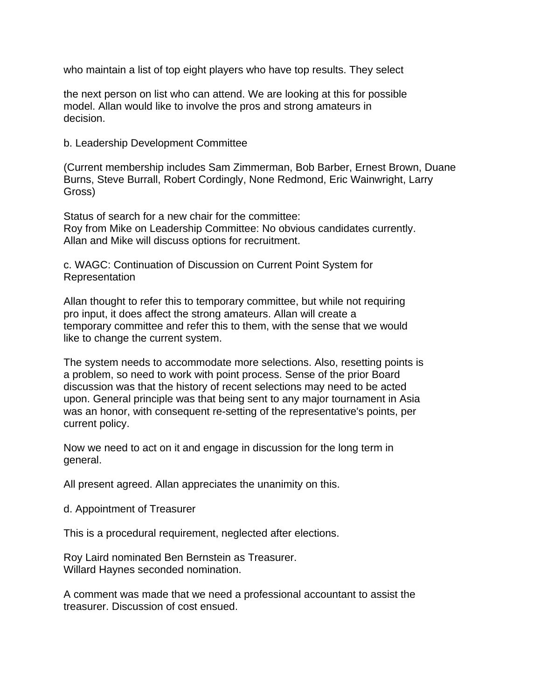who maintain a list of top eight players who have top results. They select

the next person on list who can attend. We are looking at this for possible model. Allan would like to involve the pros and strong amateurs in decision.

b. Leadership Development Committee

(Current membership includes Sam Zimmerman, Bob Barber, Ernest Brown, Duane Burns, Steve Burrall, Robert Cordingly, None Redmond, Eric Wainwright, Larry Gross)

Status of search for a new chair for the committee: Roy from Mike on Leadership Committee: No obvious candidates currently. Allan and Mike will discuss options for recruitment.

c. WAGC: Continuation of Discussion on Current Point System for Representation

Allan thought to refer this to temporary committee, but while not requiring pro input, it does affect the strong amateurs. Allan will create a temporary committee and refer this to them, with the sense that we would like to change the current system.

The system needs to accommodate more selections. Also, resetting points is a problem, so need to work with point process. Sense of the prior Board discussion was that the history of recent selections may need to be acted upon. General principle was that being sent to any major tournament in Asia was an honor, with consequent re-setting of the representative's points, per current policy.

Now we need to act on it and engage in discussion for the long term in general.

All present agreed. Allan appreciates the unanimity on this.

d. Appointment of Treasurer

This is a procedural requirement, neglected after elections.

Roy Laird nominated Ben Bernstein as Treasurer. Willard Haynes seconded nomination.

A comment was made that we need a professional accountant to assist the treasurer. Discussion of cost ensued.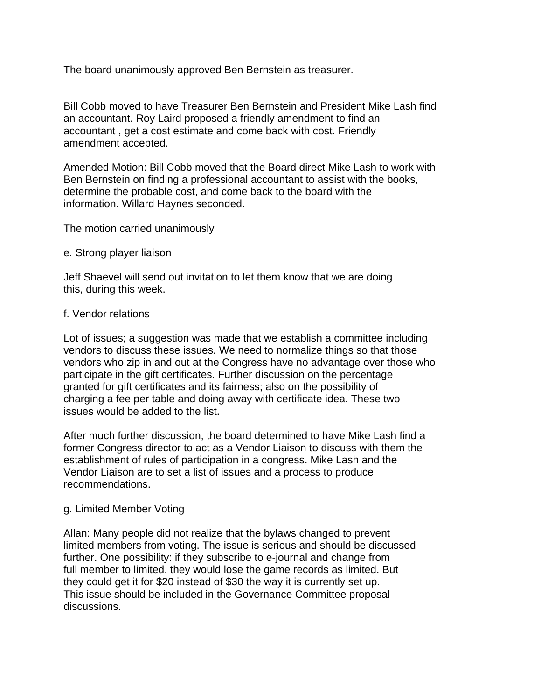The board unanimously approved Ben Bernstein as treasurer.

Bill Cobb moved to have Treasurer Ben Bernstein and President Mike Lash find an accountant. Roy Laird proposed a friendly amendment to find an accountant , get a cost estimate and come back with cost. Friendly amendment accepted.

Amended Motion: Bill Cobb moved that the Board direct Mike Lash to work with Ben Bernstein on finding a professional accountant to assist with the books, determine the probable cost, and come back to the board with the information. Willard Haynes seconded.

The motion carried unanimously

## e. Strong player liaison

Jeff Shaevel will send out invitation to let them know that we are doing this, during this week.

## f. Vendor relations

Lot of issues; a suggestion was made that we establish a committee including vendors to discuss these issues. We need to normalize things so that those vendors who zip in and out at the Congress have no advantage over those who participate in the gift certificates. Further discussion on the percentage granted for gift certificates and its fairness; also on the possibility of charging a fee per table and doing away with certificate idea. These two issues would be added to the list.

After much further discussion, the board determined to have Mike Lash find a former Congress director to act as a Vendor Liaison to discuss with them the establishment of rules of participation in a congress. Mike Lash and the Vendor Liaison are to set a list of issues and a process to produce recommendations.

## g. Limited Member Voting

Allan: Many people did not realize that the bylaws changed to prevent limited members from voting. The issue is serious and should be discussed further. One possibility: if they subscribe to e-journal and change from full member to limited, they would lose the game records as limited. But they could get it for \$20 instead of \$30 the way it is currently set up. This issue should be included in the Governance Committee proposal discussions.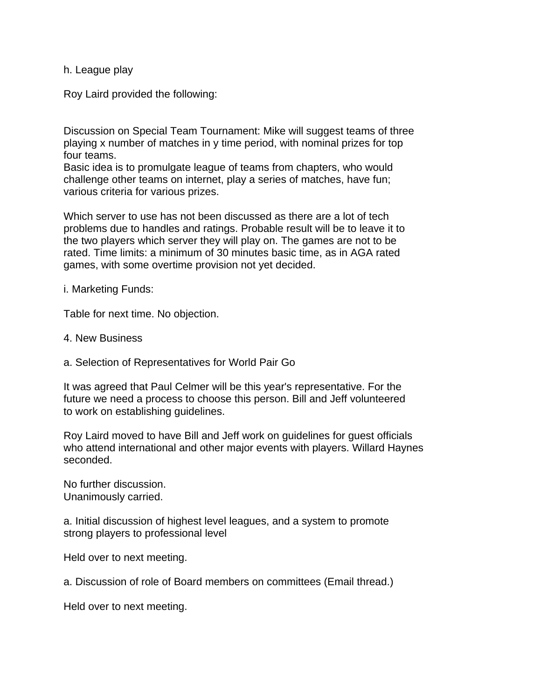h. League play

Roy Laird provided the following:

Discussion on Special Team Tournament: Mike will suggest teams of three playing x number of matches in y time period, with nominal prizes for top four teams.

Basic idea is to promulgate league of teams from chapters, who would challenge other teams on internet, play a series of matches, have fun; various criteria for various prizes.

Which server to use has not been discussed as there are a lot of tech problems due to handles and ratings. Probable result will be to leave it to the two players which server they will play on. The games are not to be rated. Time limits: a minimum of 30 minutes basic time, as in AGA rated games, with some overtime provision not yet decided.

i. Marketing Funds:

Table for next time. No objection.

- 4. New Business
- a. Selection of Representatives for World Pair Go

It was agreed that Paul Celmer will be this year's representative. For the future we need a process to choose this person. Bill and Jeff volunteered to work on establishing guidelines.

Roy Laird moved to have Bill and Jeff work on guidelines for guest officials who attend international and other major events with players. Willard Haynes seconded.

No further discussion. Unanimously carried.

a. Initial discussion of highest level leagues, and a system to promote strong players to professional level

Held over to next meeting.

a. Discussion of role of Board members on committees (Email thread.)

Held over to next meeting.